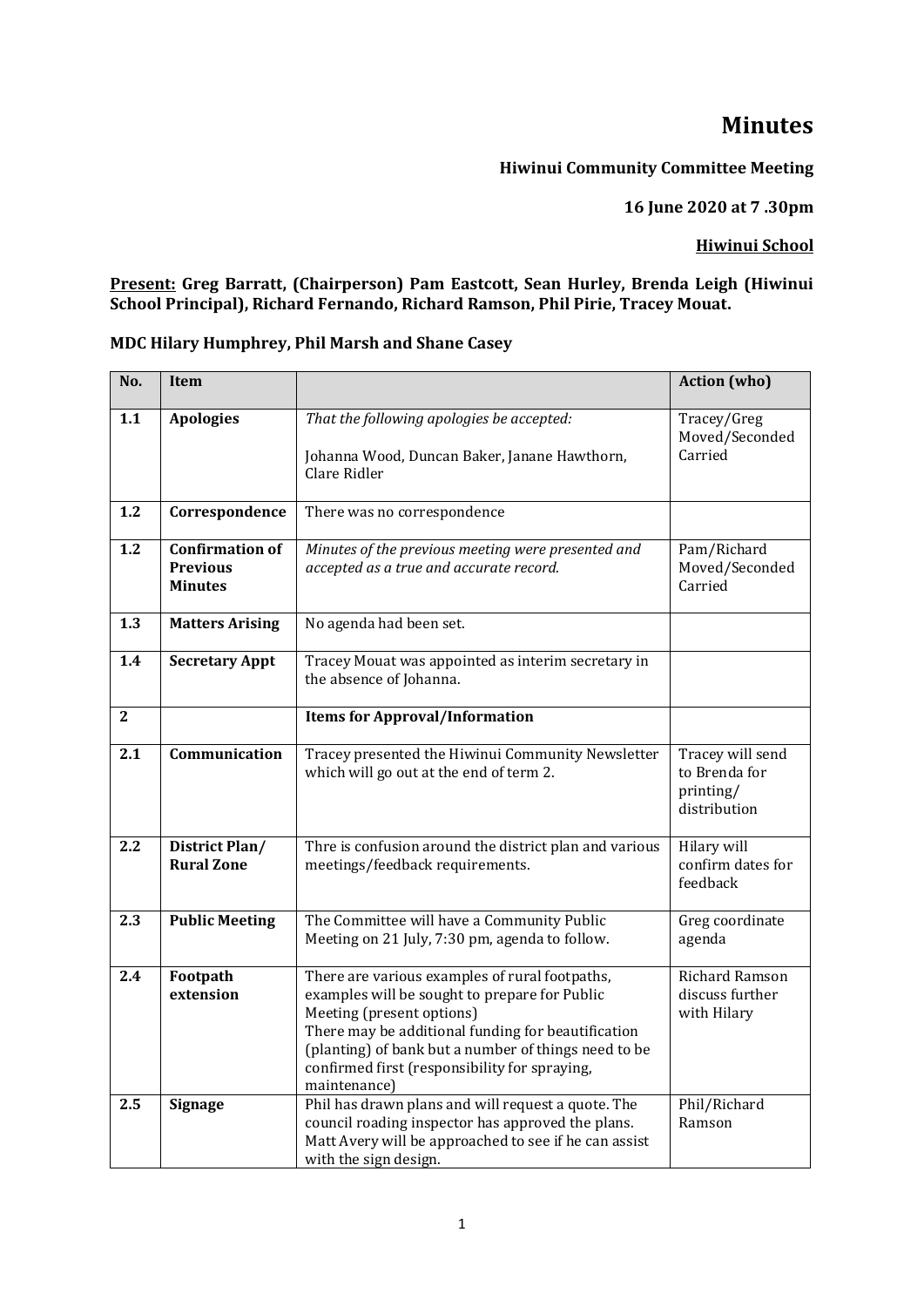# **Minutes**

## **Hiwinui Community Committee Meeting**

**16 June 2020 at 7 .30pm** 

### **Hiwinui School**

#### **Present: Greg Barratt, (Chairperson) Pam Eastcott, Sean Hurley, Brenda Leigh (Hiwinui School Principal), Richard Fernando, Richard Ramson, Phil Pirie, Tracey Mouat.**

| No.            | <b>Item</b>                                                 |                                                                                                                                                                                                                                                                                                             | <b>Action</b> (who)                                            |
|----------------|-------------------------------------------------------------|-------------------------------------------------------------------------------------------------------------------------------------------------------------------------------------------------------------------------------------------------------------------------------------------------------------|----------------------------------------------------------------|
| 1.1            | <b>Apologies</b>                                            | That the following apologies be accepted:<br>Johanna Wood, Duncan Baker, Janane Hawthorn,<br>Clare Ridler                                                                                                                                                                                                   | Tracey/Greg<br>Moved/Seconded<br>Carried                       |
| 1.2            | Correspondence                                              | There was no correspondence                                                                                                                                                                                                                                                                                 |                                                                |
| 1.2            | <b>Confirmation of</b><br><b>Previous</b><br><b>Minutes</b> | Minutes of the previous meeting were presented and<br>accepted as a true and accurate record.                                                                                                                                                                                                               | Pam/Richard<br>Moved/Seconded<br>Carried                       |
| 1.3            | <b>Matters Arising</b>                                      | No agenda had been set.                                                                                                                                                                                                                                                                                     |                                                                |
| 1.4            | <b>Secretary Appt</b>                                       | Tracey Mouat was appointed as interim secretary in<br>the absence of Johanna.                                                                                                                                                                                                                               |                                                                |
| $\overline{2}$ |                                                             | <b>Items for Approval/Information</b>                                                                                                                                                                                                                                                                       |                                                                |
| 2.1            | Communication                                               | Tracey presented the Hiwinui Community Newsletter<br>which will go out at the end of term 2.                                                                                                                                                                                                                | Tracey will send<br>to Brenda for<br>printing/<br>distribution |
| 2.2            | District Plan/<br><b>Rural Zone</b>                         | Thre is confusion around the district plan and various<br>meetings/feedback requirements.                                                                                                                                                                                                                   | Hilary will<br>confirm dates for<br>feedback                   |
| 2.3            | <b>Public Meeting</b>                                       | The Committee will have a Community Public<br>Meeting on 21 July, 7:30 pm, agenda to follow.                                                                                                                                                                                                                | Greg coordinate<br>agenda                                      |
| 2.4            | Footpath<br>extension                                       | There are various examples of rural footpaths,<br>examples will be sought to prepare for Public<br>Meeting (present options)<br>There may be additional funding for beautification<br>(planting) of bank but a number of things need to be<br>confirmed first (responsibility for spraying,<br>maintenance) | Richard Ramson<br>discuss further<br>with Hilary               |
| $2.5\,$        | <b>Signage</b>                                              | Phil has drawn plans and will request a quote. The<br>council roading inspector has approved the plans.<br>Matt Avery will be approached to see if he can assist<br>with the sign design.                                                                                                                   | Phil/Richard<br>Ramson                                         |

## **MDC Hilary Humphrey, Phil Marsh and Shane Casey**